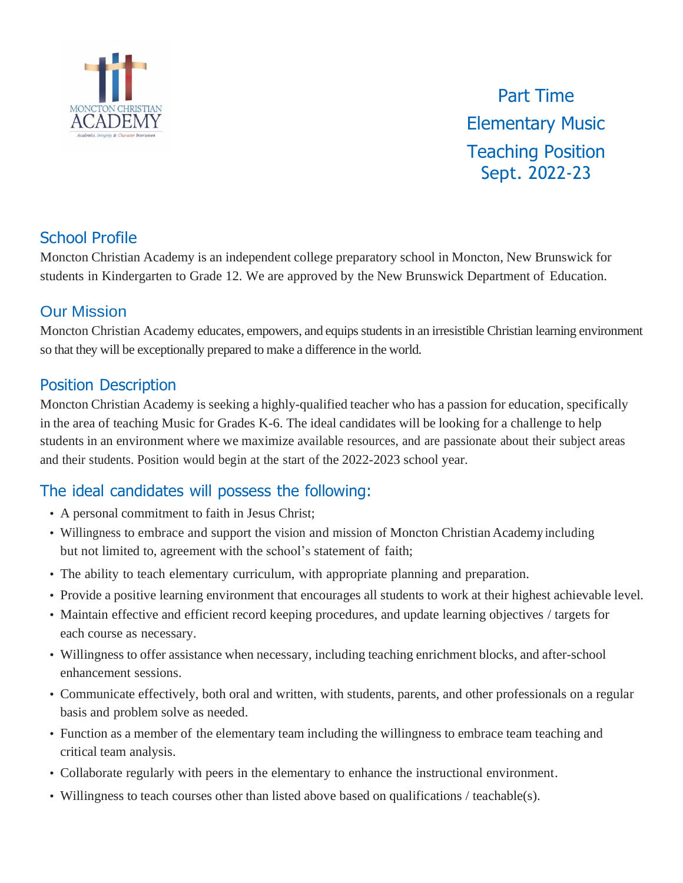

Part Time Elementary Music Teaching Position Sept. 2022-23

## School Profile

Moncton Christian Academy is an independent college preparatory school in Moncton, New Brunswick for students in Kindergarten to Grade 12. We are approved by the New Brunswick Department of Education.

### Our Mission

Moncton Christian Academy educates, empowers, and equips students in an irresistible Christian learning environment so that they will be exceptionally prepared to make a difference in the world.

## Position Description

Moncton Christian Academy is seeking a highly-qualified teacher who has a passion for education, specifically in the area of teaching Music for Grades K-6. The ideal candidates will be looking for a challenge to help students in an environment where we maximize available resources, and are passionate about their subject areas and their students. Position would begin at the start of the 2022-2023 school year.

# The ideal candidates will possess the following:

- A personal commitment to faith in Jesus Christ;
- Willingness to embrace and support the vision and mission of Moncton Christian Academy including but not limited to, agreement with the school's statement of faith;
- The ability to teach elementary curriculum, with appropriate planning and preparation.
- Provide a positive learning environment that encourages all students to work at their highest achievable level.
- Maintain effective and efficient record keeping procedures, and update learning objectives / targets for each course as necessary.
- Willingness to offer assistance when necessary, including teaching enrichment blocks, and after-school enhancement sessions.
- Communicate effectively, both oral and written, with students, parents, and other professionals on a regular basis and problem solve as needed.
- Function as a member of the elementary team including the willingness to embrace team teaching and critical team analysis.
- Collaborate regularly with peers in the elementary to enhance the instructional environment.
- Willingness to teach courses other than listed above based on qualifications / teachable(s).